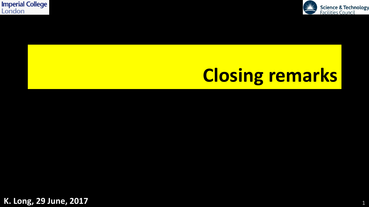



# **Closing remarks**

**K. Long, 29 June, 2017**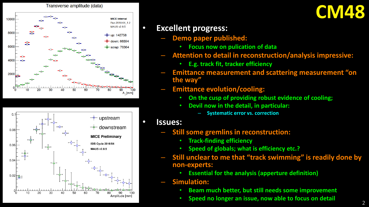



### **CM48**

#### • **Excellent progress:**

- **Demo paper published:**
	- **Focus now on pulication of data**
- **Attention to detail in reconstruction/analysis impressive:**
	- **E.g. track fit, tracker efficiency**
- **Emittance measurement and scattering measurement "on the way"**
- **Emittance evolution/cooling:**
	- **On the cusp of providing robust evidence of cooling;**
	- **Devil now in the detail, in particular:**
		- **Systematic error vs. correction**

#### • **Issues:**

- **Still some gremlins in reconstruction:**
	- **Track-finding efficiency**
	- **Speed of globals; what is efficiency etc.?**
- **Still unclear to me that "track swimming" is readily done by non-experts:**
	- **Essential for the analysis (apperture definition)**
- **Simulation:**
	- **Beam much better, but still needs some improvement**
	- **Speed no longer an issue, now able to focus on detail**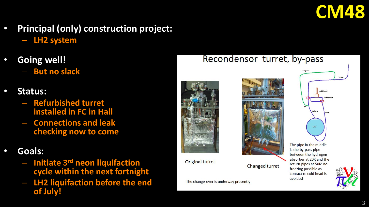

- **Principal (only) construction project:** – **LH2 system**
- **Going well!**
	- **But no slack**
- **Status:**
	- **Refurbished turret installed in FC in Hall**
	- **Connections and leak checking now to come**
- **Goals:**
	- **Initiate 3rd neon liquifaction cycle within the next fortnight**
	- **LH2 liquifaction before the end of July!**



Original turret

The change-over is underway presently

Recondensor turret, by-pass



Changed turret

The pipe in the middle is the by-pass pipe between the hydrogen absorber at 20K and the return pipes at 50K: no freezing possible as contact to cold head is avoided

 $LH2$ 

cold head condensor

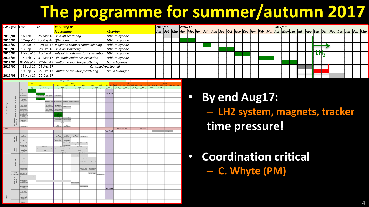## **The programme for summer/autumn 2017**

| <b>ISIS Cycle From</b> |           | l To                | <b>MICE Step IV</b>                                                     |                 |  | 2015/16 | 2016/17<br>2017/18<br>Jan  Feb  Mar  Apr  May  Jun  Jul  Aug  Sep  Oct  Nov  Dec  Jan  Feb  Mar  Apr  May  Jun  Jul  Aug  Sep  Oct  Nov  Dec  Jan  Feb  Mar |  |  |  |  |  |  |  |  |  |  |  |  |  |  |  |        |  |  |  |  |
|------------------------|-----------|---------------------|-------------------------------------------------------------------------|-----------------|--|---------|-------------------------------------------------------------------------------------------------------------------------------------------------------------|--|--|--|--|--|--|--|--|--|--|--|--|--|--|--|--------|--|--|--|--|
|                        |           |                     | <u>Proaramme</u>                                                        | <b>Absorber</b> |  |         |                                                                                                                                                             |  |  |  |  |  |  |  |  |  |  |  |  |  |  |  |        |  |  |  |  |
| 2015/04                |           |                     | 16-Feb-16 25-Mar-16 Field-off scattering                                | Lithium-hydride |  |         |                                                                                                                                                             |  |  |  |  |  |  |  |  |  |  |  |  |  |  |  |        |  |  |  |  |
| 2016/01                |           |                     | 12-Apr-16 20-May-16 $QD/QP$ upgrade                                     | Lithium-hydride |  |         |                                                                                                                                                             |  |  |  |  |  |  |  |  |  |  |  |  |  |  |  |        |  |  |  |  |
| 2016/02                | 28-Jun-16 |                     | 29-Jul-16 Magnetic-channel commissioning                                | Lithium-hydride |  |         |                                                                                                                                                             |  |  |  |  |  |  |  |  |  |  |  |  |  |  |  |        |  |  |  |  |
| 2016/03                |           |                     | 13-Sep-16 28-Oct-16 Field-on scattering                                 | Lithium-hydride |  |         |                                                                                                                                                             |  |  |  |  |  |  |  |  |  |  |  |  |  |  |  | للعامل |  |  |  |  |
| 2016/04                |           |                     | 15-Nov-16 16-Dec-16 Solenoid-mode emittance evolution   Lithium-hydride |                 |  |         |                                                                                                                                                             |  |  |  |  |  |  |  |  |  |  |  |  |  |  |  |        |  |  |  |  |
| 2016/05                |           |                     | 14-Feb-17 31-Mar-17 Flip-mode emittance evollution                      | Lithium-hydride |  |         |                                                                                                                                                             |  |  |  |  |  |  |  |  |  |  |  |  |  |  |  |        |  |  |  |  |
| 2017/01                |           |                     | 02-May-17 02-Jun-17 Emittance evolution/scattering                      | Liquid hydrogen |  |         |                                                                                                                                                             |  |  |  |  |  |  |  |  |  |  |  |  |  |  |  |        |  |  |  |  |
| 2017/02                |           | 11-Jul-17 04-Aug-17 | Cancelled/postponed                                                     |                 |  |         |                                                                                                                                                             |  |  |  |  |  |  |  |  |  |  |  |  |  |  |  |        |  |  |  |  |
|                        |           |                     | 19-Sep-17 27-Oct-17 Emittance evolution/scattering                      | Liquid hydrogen |  |         |                                                                                                                                                             |  |  |  |  |  |  |  |  |  |  |  |  |  |  |  |        |  |  |  |  |
| 2017/03                |           | 14-Nov-17 20-Dec-17 |                                                                         |                 |  |         |                                                                                                                                                             |  |  |  |  |  |  |  |  |  |  |  |  |  |  |  |        |  |  |  |  |



- **By end Aug17:** – **LH2 system, magnets, tracker time pressure!**
- **Coordination critical** – **C. Whyte (PM)**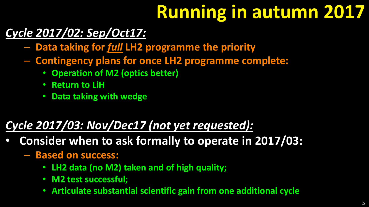# **Running in autumn 2017**

### *Cycle 2017/02: Sep/Oct17:*

- **Data taking for** *full* **LH2 programme the priority**
- **Contingency plans for once LH2 programme complete:**
	- **Operation of M2 (optics better)**
	- **Return to LiH**
	- **Data taking with wedge**

### *Cycle 2017/03: Nov/Dec17 (not yet requested):*

- **Consider when to ask formally to operate in 2017/03:**
	- **Based on success:**
		- **LH2 data (no M2) taken and of high quality;**
		- **M2 test successful;**
		- **Articulate substantial scientific gain from one additional cycle**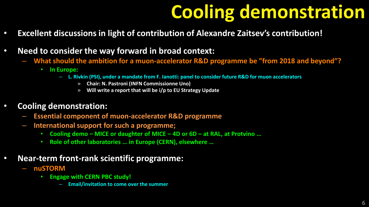# **Cooling demonstration**

- **Excellent discussions in light of contribution of Alexandre Zaitsev's contribution!**
- **Need to consider the way forward in broad context:**
	- **What should the ambition for a muon-accelerator R&D programme be "from 2018 and beyond"?**
		- **In Europe:** 
			- **L. Rivkin (PSI), under a mandate from F. Ianotti: panel to consider future R&D for muon accelerators**
				- » **Chair: N. Pastroni (INFN Commissionne Uno)**
				- » **Will write a report that will be i/p to EU Strategy Update**
- **Cooling demonstration:**
	- **Essential component of muon-accelerator R&D programme**
	- **International support for such a programme;**
		- **Cooling demo – MICE or daughter of MICE – 4D or 6D – at RAL, at Protvino …**
		- **Role of other laboratories … in Europe (CERN), elsewhere …**
- **Near-term front-rank scientific programme:**
	- **nuSTORM**
		- **Engage with CERN PBC study!**
			- **Email/invitation to come over the summer**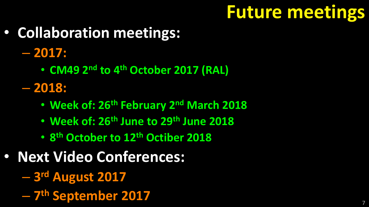# **Future meetings**

• **Collaboration meetings:**

– **2017:**

• **CM49 2nd to 4 th October 2017 (RAL)**

– **2018:**

- **Week of: 26th February 2nd March 2018**
- **Week of: 26th June to 29th June 2018**
- **8 th October to 12th Octiber 2018**
- **Next Video Conferences:**
	- **3 rd August 2017**
	- **7 th September 2017** <sup>7</sup>